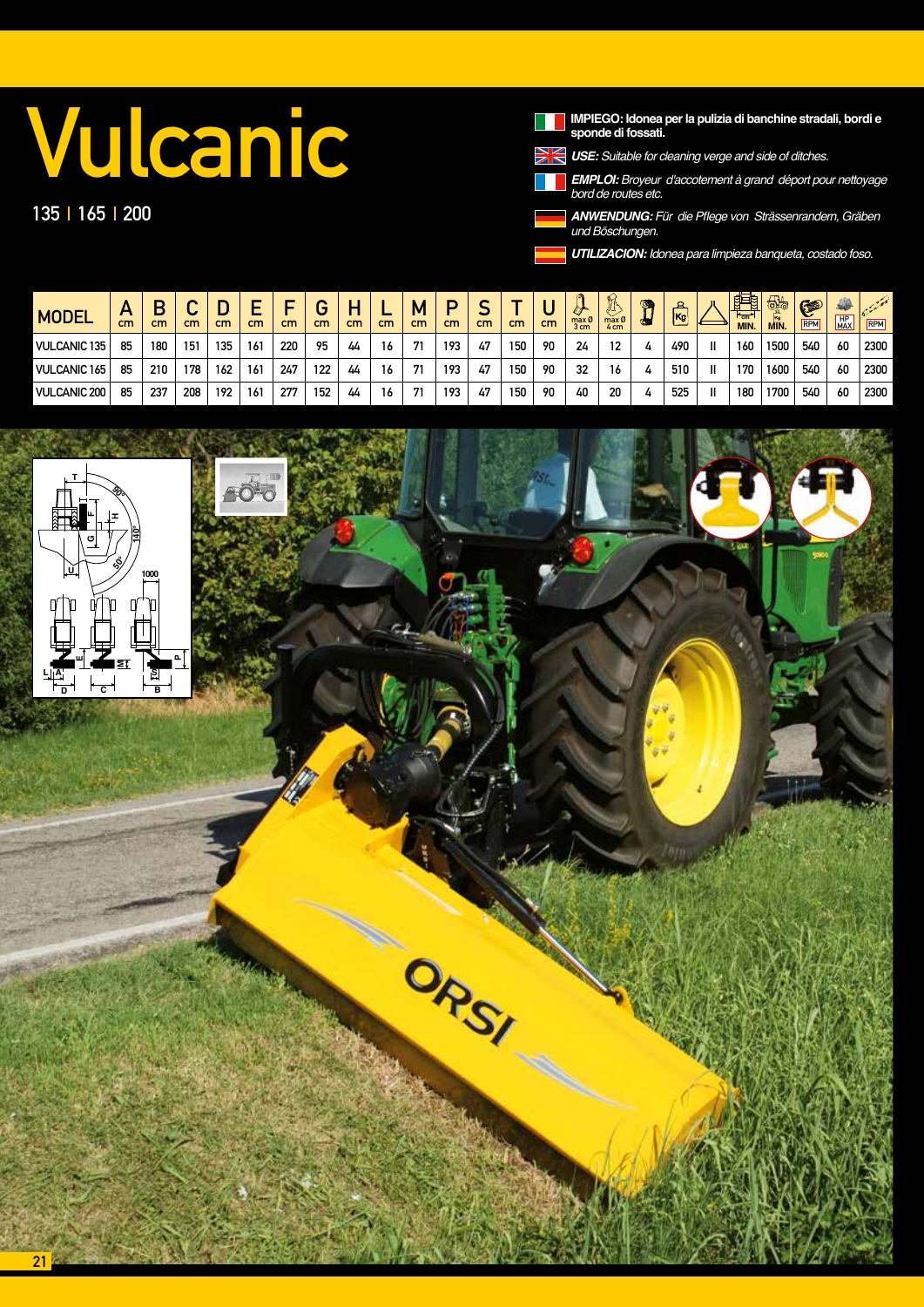# **Vulcanic**

135 | 165 | 200

IMPIEGO: Idonea per la pulizia di banchine stradali, bordi e<br>sponde di fossati.



*USE: Suitable for cleaning verge and side of ditches.*

*EMPLOI:* Broyeur d'accotement à grand déport pour nettoyage *bord de routes etc.*

*ANWENDUNG:* Für die Pflege von Strässenrandern, Gräben *und* Böschungen.

*UTILIZACION:* Idonea para limpieza banqueta, costado foso.

| <b>MODEL</b>        | Ē<br>cm | cm  | ⌒<br>u<br>cm | cm  | cm              | cm  | ⌒<br>cm | п<br>cm | cm | М<br>cm | D<br>cm | ∽<br>cm | cm  | cm | max Ø<br>3 cm | A<br>max Ø<br>4 cm | ☜        | ௨<br>$\overline{\mathsf{Kg}}$ | 醒<br>$H_{\rm cm}$<br><b>MIN.</b> | 65<br>MIN. | G<br>RPM | 450<br>HP<br>MAX | <b>Coleman</b><br>RPM |
|---------------------|---------|-----|--------------|-----|-----------------|-----|---------|---------|----|---------|---------|---------|-----|----|---------------|--------------------|----------|-------------------------------|----------------------------------|------------|----------|------------------|-----------------------|
| <b>VULCANIC 135</b> | 85      | 180 | 151          | 135 | 16 <sup>1</sup> | 220 | 95      | 44      | 16 | 71      | 193     | 47      | 150 | 90 | 24            | 12                 | 4        | 490                           | 160                              | 1500       | 540      | 60               | 2300                  |
| <b>VULCANIC 165</b> | 85      | 210 | 178          | 162 | 16 <sup>1</sup> | 247 | 122     | 44      | 16 | 71      | 193     | 47      | 150 | 90 | 32            | 16                 | 4        | 510                           | 170                              | 1600       | 540      | 60               | 2300                  |
| <b>VULCANIC 200</b> | 85      | 237 | 208          | 192 | 16 <sup>1</sup> | 277 | 152     | 44      | 16 | 71      | 193     | 47      | 150 | 90 | 40            | 20                 | $\bf{u}$ | 525                           | 180                              | 1700       | 540      | 60               | 2300                  |